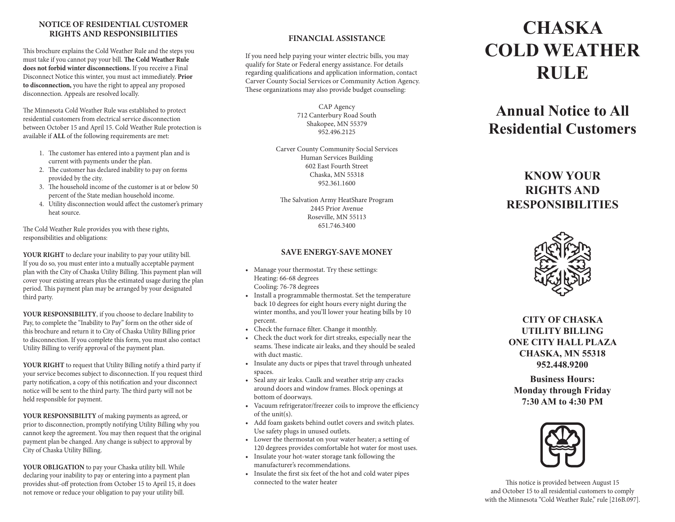### **NOTICE OF RESIDENTIAL CUSTOMER RIGHTS AND RESPONSIBILITIES**

This brochure explains the Cold Weather Rule and the steps you must take if you cannot pay your bill. **The Cold Weather Rule does not forbid winter disconnections.** If you receive a Final Disconnect Notice this winter, you must act immediately. **Prior to disconnection,** you have the right to appeal any proposed disconnection. Appeals are resolved locally.

The Minnesota Cold Weather Rule was established to protect residential customers from electrical service disconnection between October 15 and April 15. Cold Weather Rule protection is available if **ALL** of the following requirements are met:

- 1. The customer has entered into a payment plan and is current with payments under the plan.
- 2. The customer has declared inability to pay on forms provided by the city.
- 3. The household income of the customer is at or below 50 percent of the State median household income.
- 4. Utility disconnection would affect the customer's primary heat source.

The Cold Weather Rule provides you with these rights, responsibilities and obligations:

**YOUR RIGHT** to declare your inability to pay your utility bill. If you do so, you must enter into a mutually acceptable payment plan with the City of Chaska Utility Billing. This payment plan will cover your existing arrears plus the estimated usage during the plan period. This payment plan may be arranged by your designated third party.

**YOUR RESPONSIBILITY**, if you choose to declare Inability to Pay, to complete the "Inability to Pay" form on the other side of this brochure and return it to City of Chaska Utility Billing prior to disconnection. If you complete this form, you must also contact Utility Billing to verify approval of the payment plan.

**YOUR RIGHT** to request that Utility Billing notify a third party if your service becomes subject to disconnection. If you request third party notification, a copy of this notification and your disconnect notice will be sent to the third party. The third party will not be held responsible for payment.

**YOUR RESPONSIBILITY** of making payments as agreed, or prior to disconnection, promptly notifying Utility Billing why you cannot keep the agreement. You may then request that the original payment plan be changed. Any change is subject to approval by City of Chaska Utility Billing.

**YOUR OBLIGATION** to pay your Chaska utility bill. While declaring your inability to pay or entering into a payment plan provides shut-off protection from October 15 to April 15, it does not remove or reduce your obligation to pay your utility bill.

### **FINANCIAL ASSISTANCE**

If you need help paying your winter electric bills, you may qualify for State or Federal energy assistance. For details regarding qualifications and application information, contact Carver County Social Services or Community Action Agency. These organizations may also provide budget counseling:

> CAP Agency 712 Canterbury Road South Shakopee, MN 55379 952.496.2125

Carver County Community Social Services Human Services Building 602 East Fourth Street Chaska, MN 55318 952.361.1600

The Salvation Army HeatShare Program 2445 Prior Avenue Roseville, MN 55113 651.746.3400

#### **SAVE ENERGY-SAVE MONEY**

- • Manage your thermostat. Try these settings: Heating: 66-68 degrees Cooling: 76-78 degrees
- • Install a programmable thermostat. Set the temperature back 10 degrees for eight hours every night during the winter months, and you'll lower your heating bills by 10 percent.
- • Check the furnace filter. Change it monthly.
- Check the duct work for dirt streaks, especially near the seams. These indicate air leaks, and they should be sealed with duct mastic.
- • Insulate any ducts or pipes that travel through unheated spaces.
- • Seal any air leaks. Caulk and weather strip any cracks around doors and window frames. Block openings at bottom of doorways.
- • Vacuum refrigerator/freezer coils to improve the efficiency of the unit(s).
- • Add foam gaskets behind outlet covers and switch plates. Use safety plugs in unused outlets.
- Lower the thermostat on your water heater; a setting of 120 degrees provides comfortable hot water for most uses.
- • Insulate your hot-water storage tank following the manufacturer's recommendations.
- • Insulate the first six feet of the hot and cold water pipes connected to the water heater

# **Chaska Cold Weather Rule**

## **Annual Notice to All Residential Customers**

### **KNOW YOUR RIGHTS AND RESPONSIBILITIES**



**CITY OF CHASKA UTILITY BILLING ONE CITY HALL PLAZA CHASKA, MN 55318 952.448.9200**

**Business Hours: Monday through Friday 7:30 AM to 4:30 PM**



This notice is provided between August 15 and October 15 to all residential customers to comply with the Minnesota "Cold Weather Rule," rule [216B.097].